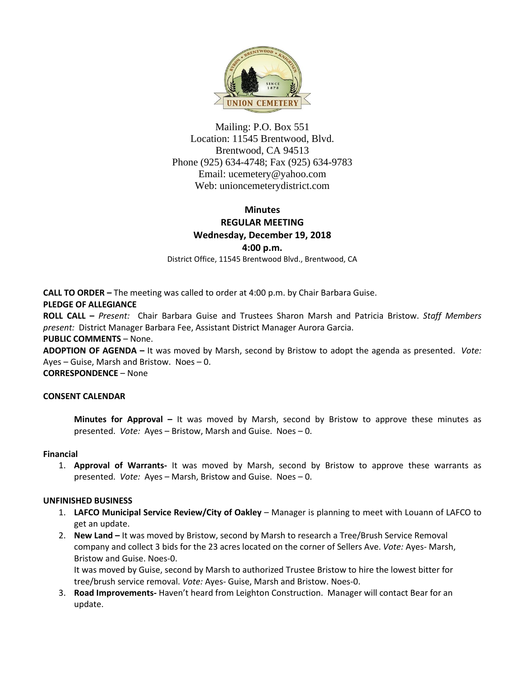

Mailing: P.O. Box 551 Location: 11545 Brentwood, Blvd. Brentwood, CA 94513 Phone (925) 634-4748; Fax (925) 634-9783 Email: [ucemetery@yahoo.com](mailto:ucemetery@yahoo.com) Web: unioncemeterydistrict.com

# **Minutes REGULAR MEETING Wednesday, December 19, 2018**

**4:00 p.m.**

District Office, 11545 Brentwood Blvd., Brentwood, CA

**CALL TO ORDER –** The meeting was called to order at 4:00 p.m. by Chair Barbara Guise.

## **PLEDGE OF ALLEGIANCE**

**ROLL CALL –** *Present:* Chair Barbara Guise and Trustees Sharon Marsh and Patricia Bristow. *Staff Members present:* District Manager Barbara Fee, Assistant District Manager Aurora Garcia.

## **PUBLIC COMMENTS** – None.

**ADOPTION OF AGENDA –** It was moved by Marsh, second by Bristow to adopt the agenda as presented. *Vote:*  Ayes – Guise, Marsh and Bristow. Noes – 0.

**CORRESPONDENCE** – None

## **CONSENT CALENDAR**

**Minutes for Approval –** It was moved by Marsh, second by Bristow to approve these minutes as presented. *Vote:* Ayes – Bristow, Marsh and Guise. Noes – 0.

#### **Financial**

1. **Approval of Warrants-** It was moved by Marsh, second by Bristow to approve these warrants as presented. *Vote:* Ayes – Marsh, Bristow and Guise. Noes – 0.

## **UNFINISHED BUSINESS**

- 1. **LAFCO Municipal Service Review/City of Oakley** Manager is planning to meet with Louann of LAFCO to get an update.
- 2. **New Land –** It was moved by Bristow, second by Marsh to research a Tree/Brush Service Removal company and collect 3 bids for the 23 acres located on the corner of Sellers Ave. *Vote:* Ayes- Marsh, Bristow and Guise. Noes-0.

It was moved by Guise, second by Marsh to authorized Trustee Bristow to hire the lowest bitter for tree/brush service removal. *Vote:* Ayes- Guise, Marsh and Bristow. Noes-0.

3. **Road Improvements-** Haven't heard from Leighton Construction. Manager will contact Bear for an update.